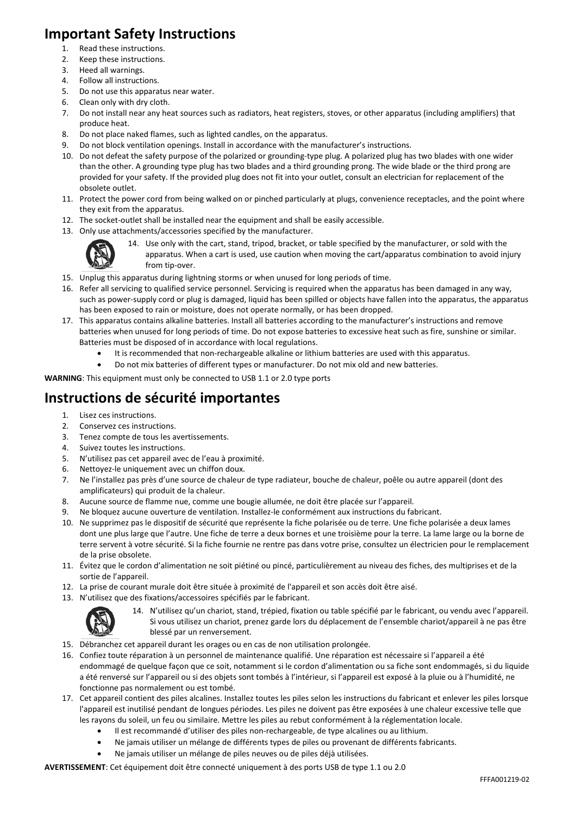## **Important Safety Instructions**

- 1. Read these instructions.
- 2. Keep these instructions.
- 3. Heed all warnings.
- 
- 4. Follow all instructions.<br>5. Do not use this appara 5. Do not use this apparatus near water.
- 6. Clean only with dry cloth.
- 7. Do not install near any heat sources such as radiators, heat registers, stoves, or other apparatus (including amplifiers) that produce heat.
- 8. Do not place naked flames, such as lighted candles, on the apparatus.
- 9. Do not block ventilation openings. Install in accordance with the manufacturer's instructions.
- 10. Do not defeat the safety purpose of the polarized or grounding-type plug. A polarized plug has two blades with one wider than the other. A grounding type plug has two blades and a third grounding prong. The wide blade or the third prong are provided for your safety. If the provided plug does not fit into your outlet, consult an electrician for replacement of the obsolete outlet.
- 11. Protect the power cord from being walked on or pinched particularly at plugs, convenience receptacles, and the point where they exit from the apparatus.
- 12. The socket-outlet shall be installed near the equipment and shall be easily accessible.
- 13. Only use attachments/accessories specified by the manufacturer.



14. Use only with the cart, stand, tripod, bracket, or table specified by the manufacturer, or sold with the apparatus. When a cart is used, use caution when moving the cart/apparatus combination to avoid injury from tip-over.

- 15. Unplug this apparatus during lightning storms or when unused for long periods of time.
- 16. Refer all servicing to qualified service personnel. Servicing is required when the apparatus has been damaged in any way, such as power-supply cord or plug is damaged, liquid has been spilled or objects have fallen into the apparatus, the apparatus has been exposed to rain or moisture, does not operate normally, or has been dropped.
- 17. This apparatus contains alkaline batteries. Install all batteries according to the manufacturer's instructions and remove batteries when unused for long periods of time. Do not expose batteries to excessive heat such as fire, sunshine or similar. Batteries must be disposed of in accordance with local regulations.
	- It is recommended that non-rechargeable alkaline or lithium batteries are used with this apparatus.
	- Do not mix batteries of different types or manufacturer. Do not mix old and new batteries.

**WARNING**: This equipment must only be connected to USB 1.1 or 2.0 type ports

# **Instructions de sécurité importantes**

- 1. Lisez ces instructions.
- 2. Conservez ces instructions.
- 3. Tenez compte de tous les avertissements.
- 4. Suivez toutes les instructions.
- 5. N'utilisez pas cet appareil avec de l'eau à proximité.
- 6. Nettoyez-le uniquement avec un chiffon doux.
- 7. Ne l'installez pas près d'une source de chaleur de type radiateur, bouche de chaleur, poêle ou autre appareil (dont des amplificateurs) qui produit de la chaleur.
- 8. Aucune source de flamme nue, comme une bougie allumée, ne doit être placée sur l'appareil.
- 9. Ne bloquez aucune ouverture de ventilation. Installez-le conformément aux instructions du fabricant.
- 10. Ne supprimez pas le dispositif de sécurité que représente la fiche polarisée ou de terre. Une fiche polarisée a deux lames dont une plus large que l'autre. Une fiche de terre a deux bornes et une troisième pour la terre. La lame large ou la borne de terre servent à votre sécurité. Si la fiche fournie ne rentre pas dans votre prise, consultez un électricien pour le remplacement de la prise obsolete.
- 11. Évitez que le cordon d'alimentation ne soit piétiné ou pincé, particulièrement au niveau des fiches, des multiprises et de la sortie de l'appareil.
- 12. La prise de courant murale doit être située à proximité de l'appareil et son accès doit être aisé.
- 13. N'utilisez que des fixations/accessoires spécifiés par le fabricant.



14. N'utilisez qu'un chariot, stand, trépied, fixation ou table spécifié par le fabricant, ou vendu avec l'appareil. Si vous utilisez un chariot, prenez garde lors du déplacement de l'ensemble chariot/appareil à ne pas être blessé par un renversement.

- 15. Débranchez cet appareil durant les orages ou en cas de non utilisation prolongée.
- 16. Confiez toute réparation à un personnel de maintenance qualifié. Une réparation est nécessaire si l'appareil a été endommagé de quelque façon que ce soit, notamment si le cordon d'alimentation ou sa fiche sont endommagés, si du liquide a été renversé sur l'appareil ou si des objets sont tombés à l'intérieur, si l'appareil est exposé à la pluie ou à l'humidité, ne fonctionne pas normalement ou est tombé.
- 17. Cet appareil contient des piles alcalines. Installez toutes les piles selon les instructions du fabricant et enlever les piles lorsque l'appareil est inutilisé pendant de longues périodes. Les piles ne doivent pas être exposées à une chaleur excessive telle que les rayons du soleil, un feu ou similaire. Mettre les piles au rebut conformément à la réglementation locale.
	- Il est recommandé d'utiliser des piles non-rechargeable, de type alcalines ou au lithium.
	- Ne jamais utiliser un mélange de différents types de piles ou provenant de différents fabricants.
	- x Ne jamais utiliser un mélange de piles neuves ou de piles déjà utilisées.

**AVERTISSEMENT**: Cet équipement doit être connecté uniquement à des ports USB de type 1.1 ou 2.0